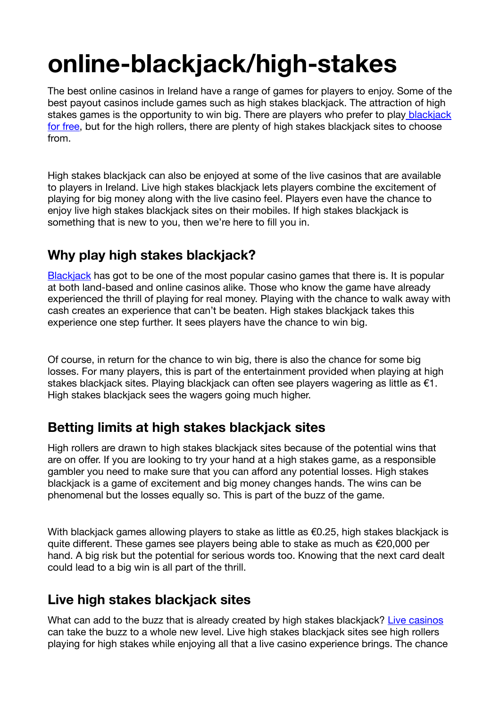# **online-blackjack/high-stakes**

The best online casinos in Ireland have a range of games for players to enjoy. Some of the best payout casinos include games such as high stakes blackjack. The attraction of high stakes games is the opportunity to win big. There are players who prefer to play blackjack for free, but for the high rollers, there are plenty of high stakes blackiack sites to choose from.

High stakes blackjack can also be enjoyed at some of the live casinos that are available to players in Ireland. Live high stakes blackjack lets players combine the excitement of playing for big money along with the live casino feel. Players even have the chance to enjoy live high stakes blackjack sites on their mobiles. If high stakes blackjack is something that is new to you, then we're here to fill you in.

# **Why play high stakes blackjack?**

Blackjack has got to be one of the most popular casino games that there is. It is popular at both land-based and online casinos alike. Those who know the game have already experienced the thrill of playing for real money. Playing with the chance to walk away with cash creates an experience that can't be beaten. High stakes blackjack takes this experience one step further. It sees players have the chance to win big.

Of course, in return for the chance to win big, there is also the chance for some big losses. For many players, this is part of the entertainment provided when playing at high stakes blackjack sites. Playing blackjack can often see players wagering as little as €1. High stakes blackjack sees the wagers going much higher.

## **Betting limits at high stakes blackjack sites**

High rollers are drawn to high stakes blackjack sites because of the potential wins that are on offer. If you are looking to try your hand at a high stakes game, as a responsible gambler you need to make sure that you can afford any potential losses. High stakes blackjack is a game of excitement and big money changes hands. The wins can be phenomenal but the losses equally so. This is part of the buzz of the game.

With blackiack games allowing players to stake as little as  $€0.25$ , high stakes blackiack is quite different. These games see players being able to stake as much as  $\epsilon$ 20,000 per hand. A big risk but the potential for serious words too. Knowing that the next card dealt could lead to a big win is all part of the thrill.

## **Live high stakes blackjack sites**

What can add to the buzz that is already created by high stakes blackjack? Live casinos can take the buzz to a whole new level. Live high stakes blackjack sites see high rollers playing for high stakes while enjoying all that a live casino experience brings. The chance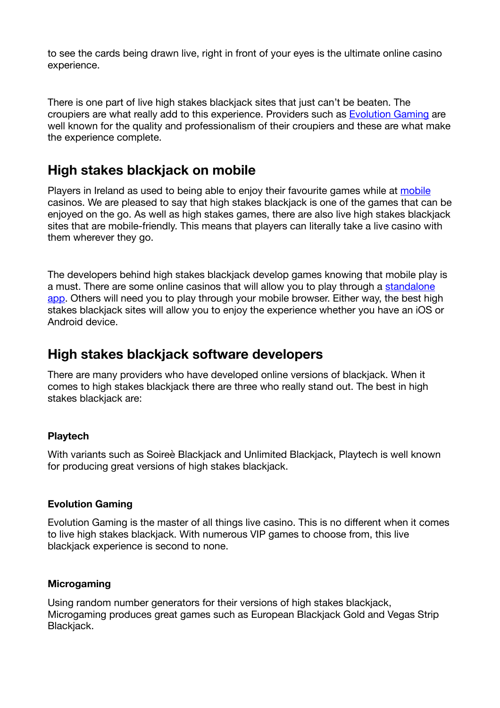to see the cards being drawn live, right in front of your eyes is the ultimate online casino experience.

There is one part of live high stakes blackjack sites that just can't be beaten. The croupiers are what really add to this experience. Providers such as Evolution Gaming are well known for the quality and professionalism of their croupiers and these are what make the experience complete.

## **High stakes blackjack on mobile**

Players in Ireland as used to being able to enjoy their favourite games while at mobile casinos. We are pleased to say that high stakes blackjack is one of the games that can be enjoyed on the go. As well as high stakes games, there are also live high stakes blackjack sites that are mobile-friendly. This means that players can literally take a live casino with them wherever they go.

The developers behind high stakes blackjack develop games knowing that mobile play is a must. There are some online casinos that will allow you to play through a standalone app. Others will need you to play through your mobile browser. Either way, the best high stakes blackjack sites will allow you to enjoy the experience whether you have an iOS or Android device.

## **High stakes blackjack software developers**

There are many providers who have developed online versions of blackjack. When it comes to high stakes blackjack there are three who really stand out. The best in high stakes blackjack are:

## **Playtech**

With variants such as Soireè Blackjack and Unlimited Blackjack, Playtech is well known for producing great versions of high stakes blackiack.

### **Evolution Gaming**

Evolution Gaming is the master of all things live casino. This is no different when it comes to live high stakes blackjack. With numerous VIP games to choose from, this live blackjack experience is second to none.

### **Microgaming**

Using random number generators for their versions of high stakes blackjack, Microgaming produces great games such as European Blackjack Gold and Vegas Strip Blackjack.